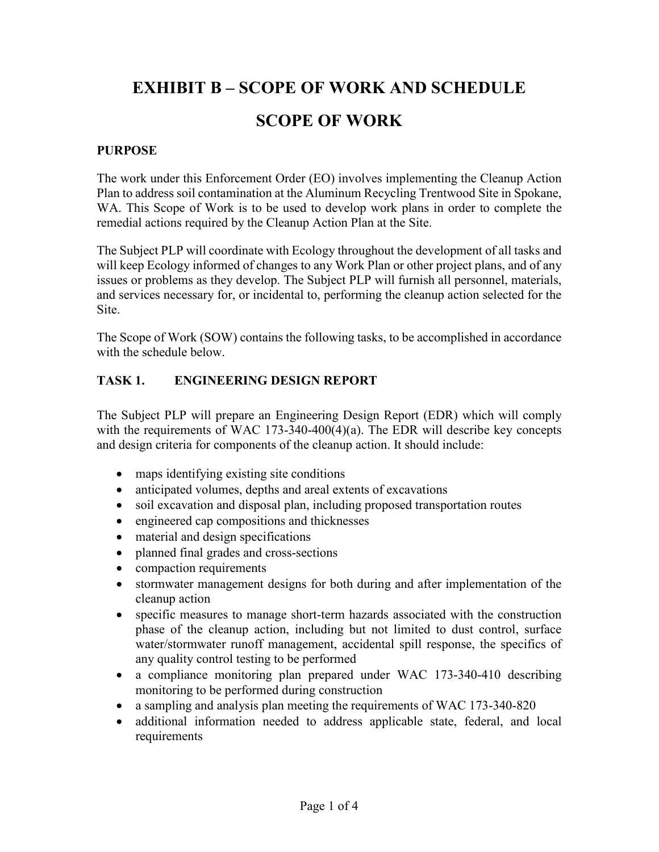# **EXHIBIT B – SCOPE OF WORK AND SCHEDULE SCOPE OF WORK**

#### **PURPOSE**

The work under this Enforcement Order (EO) involves implementing the Cleanup Action Plan to address soil contamination at the Aluminum Recycling Trentwood Site in Spokane, WA. This Scope of Work is to be used to develop work plans in order to complete the remedial actions required by the Cleanup Action Plan at the Site.

The Subject PLP will coordinate with Ecology throughout the development of all tasks and will keep Ecology informed of changes to any Work Plan or other project plans, and of any issues or problems as they develop. The Subject PLP will furnish all personnel, materials, and services necessary for, or incidental to, performing the cleanup action selected for the Site.

The Scope of Work (SOW) contains the following tasks, to be accomplished in accordance with the schedule below.

#### **TASK 1. ENGINEERING DESIGN REPORT**

The Subject PLP will prepare an Engineering Design Report (EDR) which will comply with the requirements of WAC 173-340-400(4)(a). The EDR will describe key concepts and design criteria for components of the cleanup action. It should include:

- maps identifying existing site conditions
- anticipated volumes, depths and areal extents of excavations
- soil excavation and disposal plan, including proposed transportation routes
- engineered cap compositions and thicknesses
- material and design specifications
- planned final grades and cross-sections
- compaction requirements
- stormwater management designs for both during and after implementation of the cleanup action
- specific measures to manage short-term hazards associated with the construction phase of the cleanup action, including but not limited to dust control, surface water/stormwater runoff management, accidental spill response, the specifics of any quality control testing to be performed
- a compliance monitoring plan prepared under WAC 173-340-410 describing monitoring to be performed during construction
- a sampling and analysis plan meeting the requirements of WAC 173-340-820
- additional information needed to address applicable state, federal, and local requirements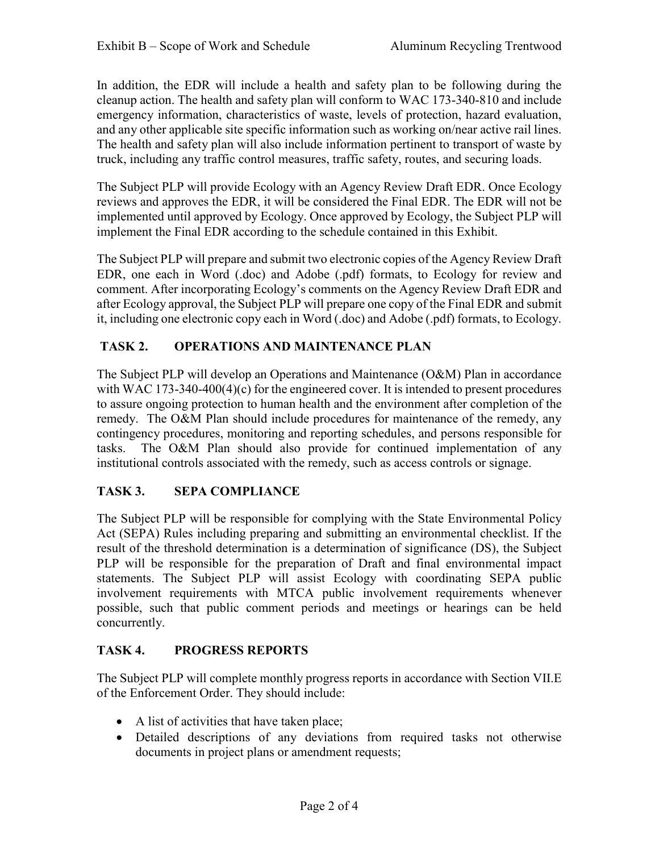In addition, the EDR will include a health and safety plan to be following during the cleanup action. The health and safety plan will conform to WAC 173-340-810 and include emergency information, characteristics of waste, levels of protection, hazard evaluation, and any other applicable site specific information such as working on/near active rail lines. The health and safety plan will also include information pertinent to transport of waste by truck, including any traffic control measures, traffic safety, routes, and securing loads.

The Subject PLP will provide Ecology with an Agency Review Draft EDR. Once Ecology reviews and approves the EDR, it will be considered the Final EDR. The EDR will not be implemented until approved by Ecology. Once approved by Ecology, the Subject PLP will implement the Final EDR according to the schedule contained in this Exhibit.

The Subject PLP will prepare and submit two electronic copies of the Agency Review Draft EDR, one each in Word (.doc) and Adobe (.pdf) formats, to Ecology for review and comment. After incorporating Ecology's comments on the Agency Review Draft EDR and after Ecology approval, the Subject PLP will prepare one copy of the Final EDR and submit it, including one electronic copy each in Word (.doc) and Adobe (.pdf) formats, to Ecology.

### **TASK 2. OPERATIONS AND MAINTENANCE PLAN**

The Subject PLP will develop an Operations and Maintenance (O&M) Plan in accordance with WAC 173-340-400(4)(c) for the engineered cover. It is intended to present procedures to assure ongoing protection to human health and the environment after completion of the remedy. The O&M Plan should include procedures for maintenance of the remedy, any contingency procedures, monitoring and reporting schedules, and persons responsible for tasks. The O&M Plan should also provide for continued implementation of any institutional controls associated with the remedy, such as access controls or signage.

### **TASK 3. SEPA COMPLIANCE**

The Subject PLP will be responsible for complying with the State Environmental Policy Act (SEPA) Rules including preparing and submitting an environmental checklist. If the result of the threshold determination is a determination of significance (DS), the Subject PLP will be responsible for the preparation of Draft and final environmental impact statements. The Subject PLP will assist Ecology with coordinating SEPA public involvement requirements with MTCA public involvement requirements whenever possible, such that public comment periods and meetings or hearings can be held concurrently.

### **TASK 4. PROGRESS REPORTS**

The Subject PLP will complete monthly progress reports in accordance with Section VII.E of the Enforcement Order. They should include:

- A list of activities that have taken place;
- Detailed descriptions of any deviations from required tasks not otherwise documents in project plans or amendment requests;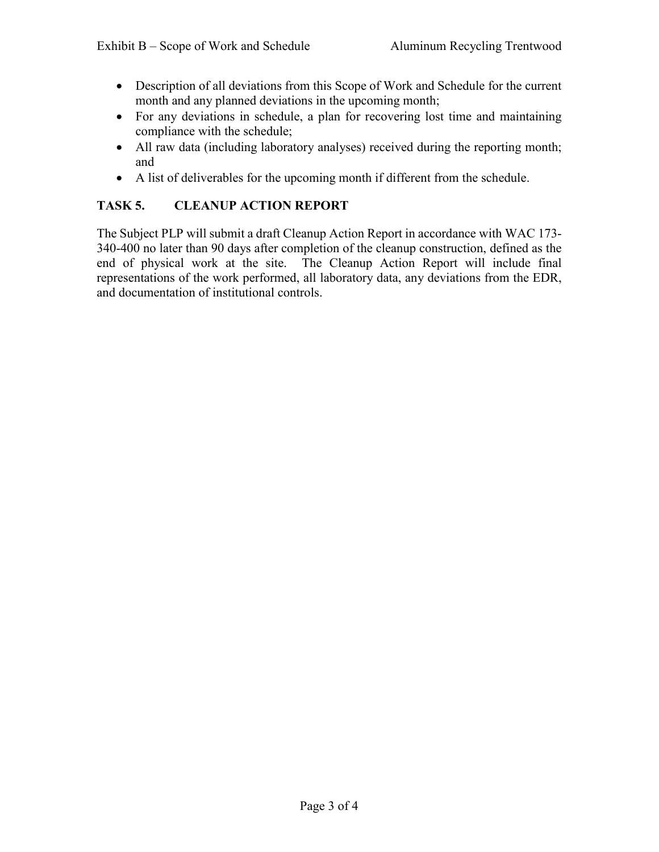- Description of all deviations from this Scope of Work and Schedule for the current month and any planned deviations in the upcoming month;
- For any deviations in schedule, a plan for recovering lost time and maintaining compliance with the schedule;
- All raw data (including laboratory analyses) received during the reporting month; and
- A list of deliverables for the upcoming month if different from the schedule.

#### **TASK 5. CLEANUP ACTION REPORT**

The Subject PLP will submit a draft Cleanup Action Report in accordance with WAC 173- 340-400 no later than 90 days after completion of the cleanup construction, defined as the end of physical work at the site. The Cleanup Action Report will include final representations of the work performed, all laboratory data, any deviations from the EDR, and documentation of institutional controls.